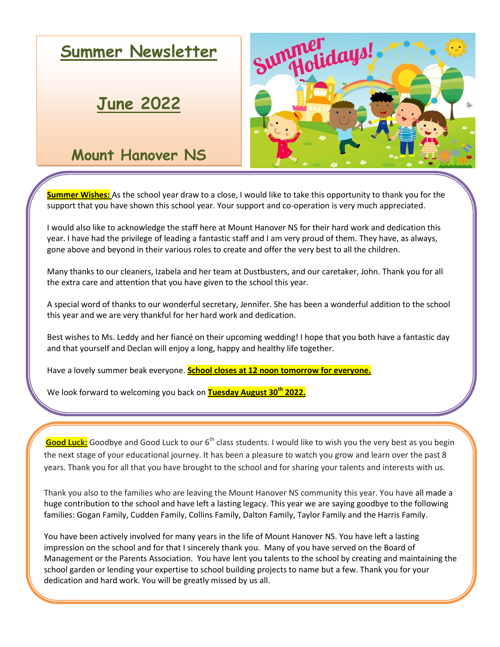

**Summer Wishes:** As the school year draw to a close, I would like to take this opportunity to thank you for the support that you have shown this school year. Your support and co-operation is very much appreciated.

year. I have had the privilege of leading a fantastic staff and I am very proud of them. They have, as always, I would also like to acknowledge the staff here at Mount Hanover NS for their hard work and dedication this gone above and beyond in their various roles to create and offer the very best to all the children.

Many thanks to our cleaners, Izabela and her team at Dustbusters, and our caretaker, John. Thank you for all the extra care and attention that you have given to the school this year.

A special word of thanks to our wonderful secretary, Jennifer. She has been a wonderful addition to the school this year and we are very thankful for her hard work and dedication.

Best wishes to Ms. Leddy and her fiancé on their upcoming wedding! I hope that you both have a fantastic day and that yourself and Declan will enjoy a long, happy and healthy life together.

Have a lovely summer beak everyone. **School closes at 12 noon tomorrow for everyone.**

We look forward to welcoming you back on **Tuesday August 30th 2022.**

Good Luck: Goodbye and Good Luck to our 6<sup>th</sup> class students. I would like to wish you the very best as you begin the next stage of your educational journey. It has been a pleasure to watch you grow and learn over the past 8 years. Thank you for all that you have brought to the school and for sharing your talents and interests with us.

Thank you also to the families who are leaving the Mount Hanover NS community this year. You have all made a huge contribution to the school and have left a lasting legacy. This year we are saying goodbye to the following families: Gogan Family, Cudden Family, Collins Family, Dalton Family, Taylor Family and the Harris Family.

You have been actively involved for many years in the life of Mount Hanover NS. You have left a lasting impression on the school and for that I sincerely thank you. Many of you have served on the Board of Management or the Parents Association. You have lent you talents to the school by creating and maintaining the school garden or lending your expertise to school building projects to name but a few. Thank you for your dedication and hard work. You will be greatly missed by us all.